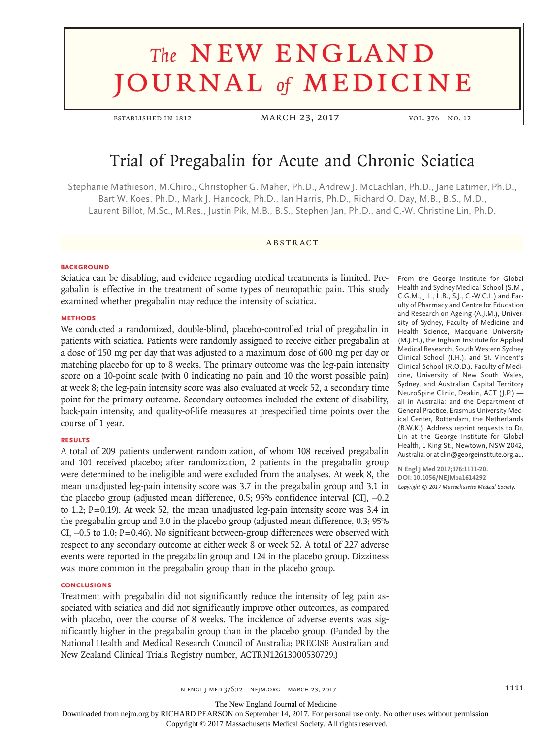# **The NEW ENGLAND** journal *of* medicine

**ESTABLISHED IN 1812** MARCH 23, 2017 vol. 376 No. 12

## Trial of Pregabalin for Acute and Chronic Sciatica

Stephanie Mathieson, M.Chiro., Christopher G. Maher, Ph.D., Andrew J. McLachlan, Ph.D., Jane Latimer, Ph.D., Bart W. Koes, Ph.D., Mark J. Hancock, Ph.D., Ian Harris, Ph.D., Richard O. Day, M.B., B.S., M.D., Laurent Billot, M.Sc., M.Res., Justin Pik, M.B., B.S., Stephen Jan, Ph.D., and C.-W. Christine Lin, Ph.D.

#### **ABSTRACT**

#### **BACKGROUND**

Sciatica can be disabling, and evidence regarding medical treatments is limited. Pregabalin is effective in the treatment of some types of neuropathic pain. This study examined whether pregabalin may reduce the intensity of sciatica.

#### **METHODS**

We conducted a randomized, double-blind, placebo-controlled trial of pregabalin in patients with sciatica. Patients were randomly assigned to receive either pregabalin at a dose of 150 mg per day that was adjusted to a maximum dose of 600 mg per day or matching placebo for up to 8 weeks. The primary outcome was the leg-pain intensity score on a 10-point scale (with 0 indicating no pain and 10 the worst possible pain) at week 8; the leg-pain intensity score was also evaluated at week 52, a secondary time point for the primary outcome. Secondary outcomes included the extent of disability, back-pain intensity, and quality-of-life measures at prespecified time points over the course of 1 year.

#### **RESULTS**

A total of 209 patients underwent randomization, of whom 108 received pregabalin and 101 received placebo; after randomization, 2 patients in the pregabalin group were determined to be ineligible and were excluded from the analyses. At week 8, the mean unadjusted leg-pain intensity score was 3.7 in the pregabalin group and 3.1 in the placebo group (adjusted mean difference, 0.5; 95% confidence interval [CI], −0.2 to 1.2; P=0.19). At week 52, the mean unadjusted leg-pain intensity score was 3.4 in the pregabalin group and 3.0 in the placebo group (adjusted mean difference, 0.3; 95% CI, −0.5 to 1.0; P=0.46). No significant between-group differences were observed with respect to any secondary outcome at either week 8 or week 52. A total of 227 adverse events were reported in the pregabalin group and 124 in the placebo group. Dizziness was more common in the pregabalin group than in the placebo group.

#### **CONCLUSIONS**

Treatment with pregabalin did not significantly reduce the intensity of leg pain associated with sciatica and did not significantly improve other outcomes, as compared with placebo, over the course of 8 weeks. The incidence of adverse events was significantly higher in the pregabalin group than in the placebo group. (Funded by the National Health and Medical Research Council of Australia; PRECISE Australian and New Zealand Clinical Trials Registry number, ACTRN12613000530729.)

From the George Institute for Global Health and Sydney Medical School (S.M., C.G.M., J.L., L.B., S.J., C.-W.C.L.) and Faculty of Pharmacy and Centre for Education and Research on Ageing (A.J.M.), University of Sydney, Faculty of Medicine and Health Science, Macquarie University (M.J.H.), the Ingham Institute for Applied Medical Research, South Western Sydney Clinical School (I.H.), and St. Vincent's Clinical School (R.O.D.), Faculty of Medicine, University of New South Wales, Sydney, and Australian Capital Territory NeuroSpine Clinic, Deakin, ACT (J.P.) all in Australia; and the Department of General Practice, Erasmus University Medical Center, Rotterdam, the Netherlands (B.W.K.). Address reprint requests to Dr. Lin at the George Institute for Global Health, 1 King St., Newtown, NSW 2042, Australia, or at clin@georgeinstitute.org.au.

**N Engl J Med 2017;376:1111-20. DOI: 10.1056/NEJMoa1614292** *Copyright © 2017 Massachusetts Medical Society.*

n engl j med 376;12 nejm.org March 23, 2017 1111

The New England Journal of Medicine

Downloaded from nejm.org by RICHARD PEARSON on September 14, 2017. For personal use only. No other uses without permission.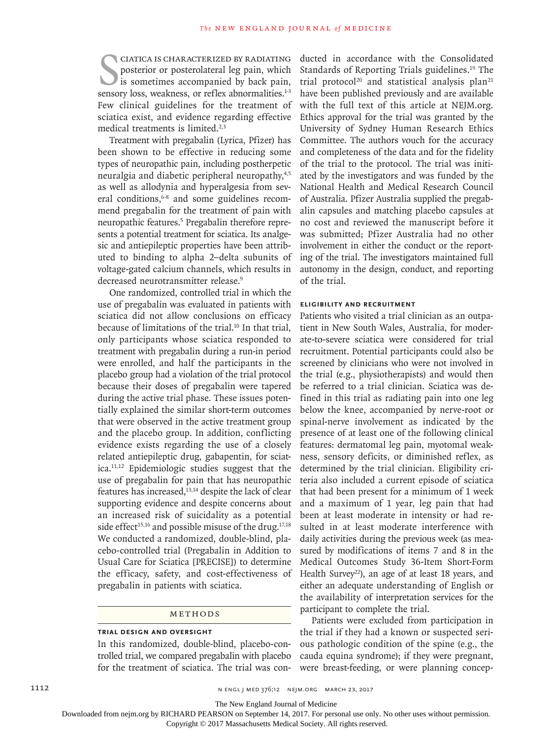CIATICA IS CHARACTERIZED BY RADIATING<br>posterior or posterolateral leg pain, which<br>is sometimes accompanied by back pain,<br>sensory loss, weakness, or reflex abnormalities.<sup>1-3</sup> ciatica is characterized by radiating posterior or posterolateral leg pain, which is sometimes accompanied by back pain, Few clinical guidelines for the treatment of sciatica exist, and evidence regarding effective medical treatments is limited.<sup>2,3</sup>

Treatment with pregabalin (Lyrica, Pfizer) has been shown to be effective in reducing some types of neuropathic pain, including postherpetic neuralgia and diabetic peripheral neuropathy,<sup>4,5</sup> as well as allodynia and hyperalgesia from several conditions,<sup>6-8</sup> and some guidelines recommend pregabalin for the treatment of pain with neuropathic features.<sup>5</sup> Pregabalin therefore represents a potential treatment for sciatica. Its analgesic and antiepileptic properties have been attributed to binding to alpha 2–delta subunits of voltage-gated calcium channels, which results in decreased neurotransmitter release.<sup>9</sup>

One randomized, controlled trial in which the use of pregabalin was evaluated in patients with sciatica did not allow conclusions on efficacy because of limitations of the trial.<sup>10</sup> In that trial, only participants whose sciatica responded to treatment with pregabalin during a run-in period were enrolled, and half the participants in the placebo group had a violation of the trial protocol because their doses of pregabalin were tapered during the active trial phase. These issues potentially explained the similar short-term outcomes that were observed in the active treatment group and the placebo group. In addition, conflicting evidence exists regarding the use of a closely related antiepileptic drug, gabapentin, for sciatica.11,12 Epidemiologic studies suggest that the use of pregabalin for pain that has neuropathic features has increased,<sup>13,14</sup> despite the lack of clear supporting evidence and despite concerns about an increased risk of suicidality as a potential side effect<sup>15,16</sup> and possible misuse of the drug.<sup>17,18</sup> We conducted a randomized, double-blind, placebo-controlled trial (Pregabalin in Addition to Usual Care for Sciatica [PRECISE]) to determine the efficacy, safety, and cost-effectiveness of pregabalin in patients with sciatica.

#### Methods

#### **Trial Design and Oversight**

In this randomized, double-blind, placebo-controlled trial, we compared pregabalin with placebo for the treatment of sciatica. The trial was conducted in accordance with the Consolidated Standards of Reporting Trials guidelines.19 The trial protocol<sup>20</sup> and statistical analysis plan<sup>21</sup> have been published previously and are available with the full text of this article at NEJM.org. Ethics approval for the trial was granted by the University of Sydney Human Research Ethics Committee. The authors vouch for the accuracy and completeness of the data and for the fidelity of the trial to the protocol. The trial was initiated by the investigators and was funded by the National Health and Medical Research Council of Australia. Pfizer Australia supplied the pregabalin capsules and matching placebo capsules at no cost and reviewed the manuscript before it was submitted; Pfizer Australia had no other involvement in either the conduct or the reporting of the trial. The investigators maintained full autonomy in the design, conduct, and reporting of the trial.

#### **Eligibility and Recruitment**

Patients who visited a trial clinician as an outpatient in New South Wales, Australia, for moderate-to-severe sciatica were considered for trial recruitment. Potential participants could also be screened by clinicians who were not involved in the trial (e.g., physiotherapists) and would then be referred to a trial clinician. Sciatica was defined in this trial as radiating pain into one leg below the knee, accompanied by nerve-root or spinal-nerve involvement as indicated by the presence of at least one of the following clinical features: dermatomal leg pain, myotomal weakness, sensory deficits, or diminished reflex, as determined by the trial clinician. Eligibility criteria also included a current episode of sciatica that had been present for a minimum of 1 week and a maximum of 1 year, leg pain that had been at least moderate in intensity or had resulted in at least moderate interference with daily activities during the previous week (as measured by modifications of items 7 and 8 in the Medical Outcomes Study 36-Item Short-Form Health Survey<sup>22</sup>), an age of at least 18 years, and either an adequate understanding of English or the availability of interpretation services for the participant to complete the trial.

Patients were excluded from participation in the trial if they had a known or suspected serious pathologic condition of the spine (e.g., the cauda equina syndrome); if they were pregnant, were breast-feeding, or were planning concep-

1112 **N ENGL | MED 376;12 NEIM.ORG MARCH 23, 2017** 

The New England Journal of Medicine

Downloaded from nejm.org by RICHARD PEARSON on September 14, 2017. For personal use only. No other uses without permission.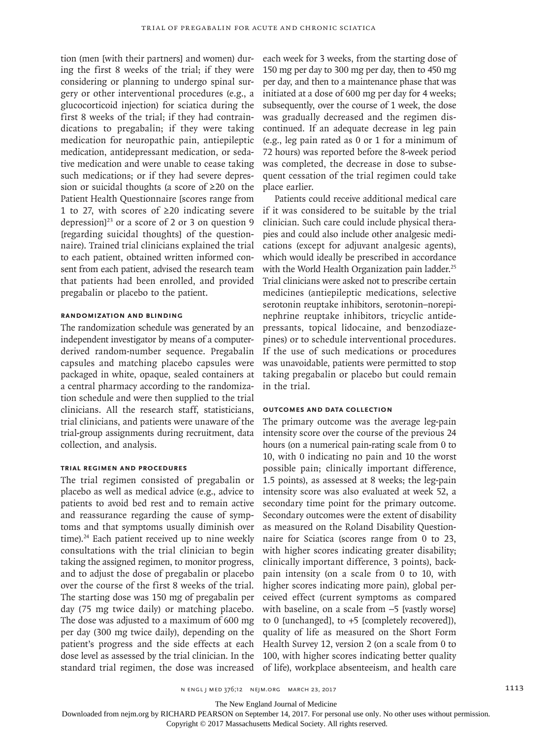tion (men [with their partners] and women) during the first 8 weeks of the trial; if they were considering or planning to undergo spinal surgery or other interventional procedures (e.g., a glucocorticoid injection) for sciatica during the first 8 weeks of the trial; if they had contraindications to pregabalin; if they were taking medication for neuropathic pain, antiepileptic medication, antidepressant medication, or sedative medication and were unable to cease taking such medications; or if they had severe depression or suicidal thoughts (a score of ≥20 on the Patient Health Questionnaire [scores range from 1 to 27, with scores of ≥20 indicating severe depression]<sup>23</sup> or a score of 2 or 3 on question 9 [regarding suicidal thoughts] of the questionnaire). Trained trial clinicians explained the trial to each patient, obtained written informed consent from each patient, advised the research team that patients had been enrolled, and provided pregabalin or placebo to the patient.

### **Randomization and Blinding**

The randomization schedule was generated by an independent investigator by means of a computerderived random-number sequence. Pregabalin capsules and matching placebo capsules were packaged in white, opaque, sealed containers at a central pharmacy according to the randomization schedule and were then supplied to the trial clinicians. All the research staff, statisticians, trial clinicians, and patients were unaware of the trial-group assignments during recruitment, data collection, and analysis.

#### **Trial Regimen and Procedures**

The trial regimen consisted of pregabalin or placebo as well as medical advice (e.g., advice to patients to avoid bed rest and to remain active and reassurance regarding the cause of symptoms and that symptoms usually diminish over time).<sup>24</sup> Each patient received up to nine weekly consultations with the trial clinician to begin taking the assigned regimen, to monitor progress, and to adjust the dose of pregabalin or placebo over the course of the first 8 weeks of the trial. The starting dose was 150 mg of pregabalin per day (75 mg twice daily) or matching placebo. The dose was adjusted to a maximum of 600 mg per day (300 mg twice daily), depending on the patient's progress and the side effects at each dose level as assessed by the trial clinician. In the standard trial regimen, the dose was increased

each week for 3 weeks, from the starting dose of 150 mg per day to 300 mg per day, then to 450 mg per day, and then to a maintenance phase that was initiated at a dose of 600 mg per day for 4 weeks; subsequently, over the course of 1 week, the dose was gradually decreased and the regimen discontinued. If an adequate decrease in leg pain (e.g., leg pain rated as 0 or 1 for a minimum of 72 hours) was reported before the 8-week period was completed, the decrease in dose to subsequent cessation of the trial regimen could take place earlier.

Patients could receive additional medical care if it was considered to be suitable by the trial clinician. Such care could include physical therapies and could also include other analgesic medications (except for adjuvant analgesic agents), which would ideally be prescribed in accordance with the World Health Organization pain ladder.<sup>25</sup> Trial clinicians were asked not to prescribe certain medicines (antiepileptic medications, selective serotonin reuptake inhibitors, serotonin–norepinephrine reuptake inhibitors, tricyclic antidepressants, topical lidocaine, and benzodiazepines) or to schedule interventional procedures. If the use of such medications or procedures was unavoidable, patients were permitted to stop taking pregabalin or placebo but could remain in the trial.

#### **Outcomes and Data Collection**

The primary outcome was the average leg-pain intensity score over the course of the previous 24 hours (on a numerical pain-rating scale from 0 to 10, with 0 indicating no pain and 10 the worst possible pain; clinically important difference, 1.5 points), as assessed at 8 weeks; the leg-pain intensity score was also evaluated at week 52, a secondary time point for the primary outcome. Secondary outcomes were the extent of disability as measured on the Roland Disability Questionnaire for Sciatica (scores range from 0 to 23, with higher scores indicating greater disability; clinically important difference, 3 points), backpain intensity (on a scale from 0 to 10, with higher scores indicating more pain), global perceived effect (current symptoms as compared with baseline, on a scale from −5 [vastly worse] to 0 [unchanged], to +5 [completely recovered]), quality of life as measured on the Short Form Health Survey 12, version 2 (on a scale from 0 to 100, with higher scores indicating better quality of life), workplace absenteeism, and health care

n engl j med 376;12 nejm.org March 23, 2017 1113

The New England Journal of Medicine

Downloaded from nejm.org by RICHARD PEARSON on September 14, 2017. For personal use only. No other uses without permission.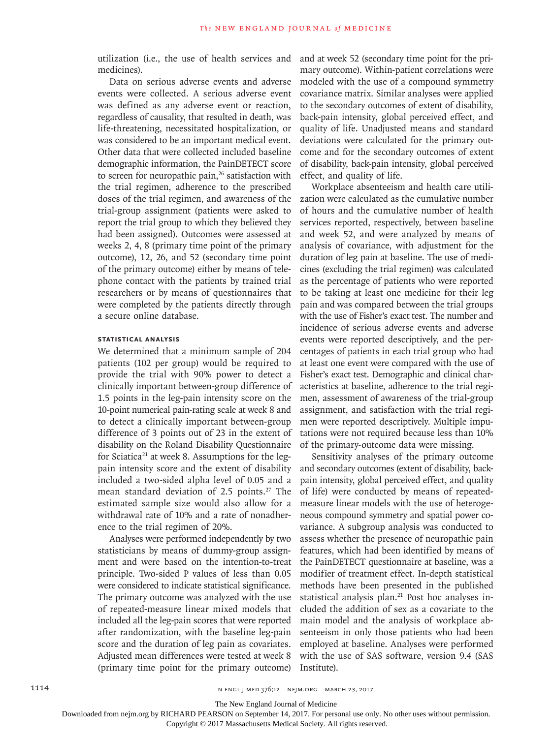utilization (i.e., the use of health services and medicines).

Data on serious adverse events and adverse events were collected. A serious adverse event was defined as any adverse event or reaction, regardless of causality, that resulted in death, was life-threatening, necessitated hospitalization, or was considered to be an important medical event. Other data that were collected included baseline demographic information, the PainDETECT score to screen for neuropathic pain,<sup>26</sup> satisfaction with the trial regimen, adherence to the prescribed doses of the trial regimen, and awareness of the trial-group assignment (patients were asked to report the trial group to which they believed they had been assigned). Outcomes were assessed at weeks 2, 4, 8 (primary time point of the primary outcome), 12, 26, and 52 (secondary time point of the primary outcome) either by means of telephone contact with the patients by trained trial researchers or by means of questionnaires that were completed by the patients directly through a secure online database.

#### **Statistical Analysis**

We determined that a minimum sample of 204 patients (102 per group) would be required to provide the trial with 90% power to detect a clinically important between-group difference of 1.5 points in the leg-pain intensity score on the 10-point numerical pain-rating scale at week 8 and to detect a clinically important between-group difference of 3 points out of 23 in the extent of disability on the Roland Disability Questionnaire for Sciatica<sup>21</sup> at week 8. Assumptions for the legpain intensity score and the extent of disability included a two-sided alpha level of 0.05 and a mean standard deviation of 2.5 points.<sup>27</sup> The estimated sample size would also allow for a withdrawal rate of 10% and a rate of nonadherence to the trial regimen of 20%.

Analyses were performed independently by two statisticians by means of dummy-group assignment and were based on the intention-to-treat principle. Two-sided P values of less than 0.05 were considered to indicate statistical significance. The primary outcome was analyzed with the use of repeated-measure linear mixed models that included all the leg-pain scores that were reported after randomization, with the baseline leg-pain score and the duration of leg pain as covariates. Adjusted mean differences were tested at week 8 (primary time point for the primary outcome)

and at week 52 (secondary time point for the primary outcome). Within-patient correlations were modeled with the use of a compound symmetry covariance matrix. Similar analyses were applied to the secondary outcomes of extent of disability, back-pain intensity, global perceived effect, and quality of life. Unadjusted means and standard deviations were calculated for the primary outcome and for the secondary outcomes of extent of disability, back-pain intensity, global perceived effect, and quality of life.

Workplace absenteeism and health care utilization were calculated as the cumulative number of hours and the cumulative number of health services reported, respectively, between baseline and week 52, and were analyzed by means of analysis of covariance, with adjustment for the duration of leg pain at baseline. The use of medicines (excluding the trial regimen) was calculated as the percentage of patients who were reported to be taking at least one medicine for their leg pain and was compared between the trial groups with the use of Fisher's exact test. The number and incidence of serious adverse events and adverse events were reported descriptively, and the percentages of patients in each trial group who had at least one event were compared with the use of Fisher's exact test. Demographic and clinical characteristics at baseline, adherence to the trial regimen, assessment of awareness of the trial-group assignment, and satisfaction with the trial regimen were reported descriptively. Multiple imputations were not required because less than 10% of the primary-outcome data were missing.

Sensitivity analyses of the primary outcome and secondary outcomes (extent of disability, backpain intensity, global perceived effect, and quality of life) were conducted by means of repeatedmeasure linear models with the use of heterogeneous compound symmetry and spatial power covariance. A subgroup analysis was conducted to assess whether the presence of neuropathic pain features, which had been identified by means of the PainDETECT questionnaire at baseline, was a modifier of treatment effect. In-depth statistical methods have been presented in the published statistical analysis plan.<sup>21</sup> Post hoc analyses included the addition of sex as a covariate to the main model and the analysis of workplace absenteeism in only those patients who had been employed at baseline. Analyses were performed with the use of SAS software, version 9.4 (SAS Institute).

1114 **1114** N ENGL J MED 376;12 NEJM.ORG MARCH 23, 2017

The New England Journal of Medicine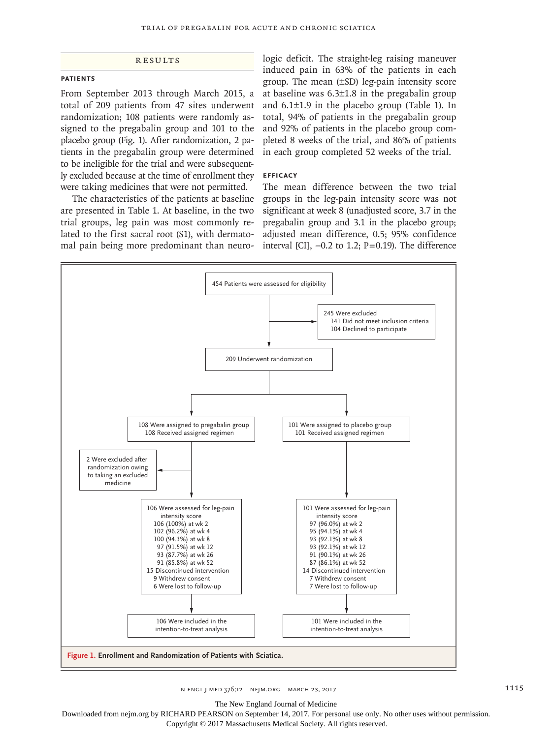#### **RESULTS**

#### **Patients**

From September 2013 through March 2015, a total of 209 patients from 47 sites underwent randomization; 108 patients were randomly assigned to the pregabalin group and 101 to the placebo group (Fig. 1). After randomization, 2 patients in the pregabalin group were determined to be ineligible for the trial and were subsequently excluded because at the time of enrollment they were taking medicines that were not permitted.

The characteristics of the patients at baseline are presented in Table 1. At baseline, in the two trial groups, leg pain was most commonly related to the first sacral root (S1), with dermatomal pain being more predominant than neuro-

logic deficit. The straight-leg raising maneuver induced pain in 63% of the patients in each group. The mean (±SD) leg-pain intensity score at baseline was 6.3±1.8 in the pregabalin group and 6.1±1.9 in the placebo group (Table 1). In total, 94% of patients in the pregabalin group and 92% of patients in the placebo group completed 8 weeks of the trial, and 86% of patients in each group completed 52 weeks of the trial.

#### **Efficacy**

The mean difference between the two trial groups in the leg-pain intensity score was not significant at week 8 (unadjusted score, 3.7 in the pregabalin group and 3.1 in the placebo group; adjusted mean difference, 0.5; 95% confidence interval [CI],  $-0.2$  to 1.2; P=0.19). The difference



n engl j med 376;12 nejm.org March 23, 2017 1115

The New England Journal of Medicine

Downloaded from nejm.org by RICHARD PEARSON on September 14, 2017. For personal use only. No other uses without permission.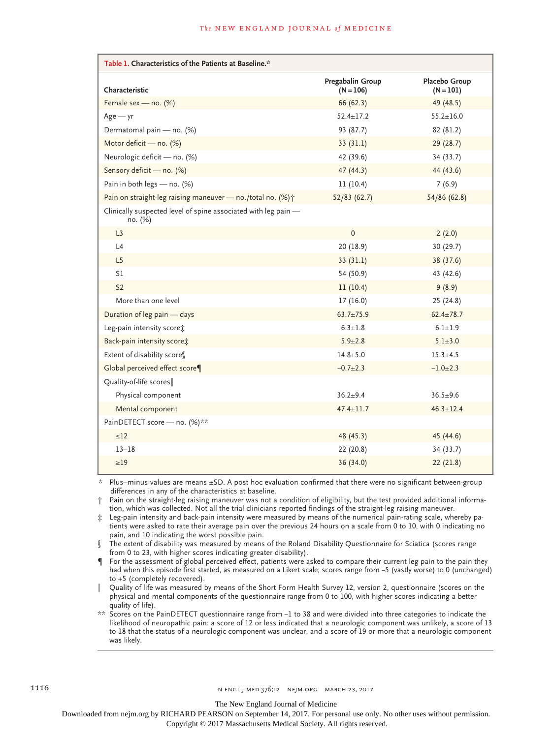| Table 1. Characteristics of the Patients at Baseline.*                    |                                 |                              |  |  |  |  |
|---------------------------------------------------------------------------|---------------------------------|------------------------------|--|--|--|--|
| Characteristic                                                            | Pregabalin Group<br>$(N = 106)$ | Placebo Group<br>$(N = 101)$ |  |  |  |  |
| Female sex - no. (%)                                                      | 66 (62.3)                       | 49 (48.5)                    |  |  |  |  |
| $Age - yr$                                                                | $52.4 \pm 17.2$                 | $55.2 \pm 16.0$              |  |  |  |  |
| Dermatomal pain - no. (%)                                                 | 93 (87.7)                       | 82 (81.2)                    |  |  |  |  |
| Motor deficit - no. (%)                                                   | 33(31.1)                        | 29(28.7)                     |  |  |  |  |
| Neurologic deficit - no. (%)                                              | 42 (39.6)                       | 34 (33.7)                    |  |  |  |  |
| Sensory deficit - no. (%)                                                 | 47 (44.3)                       | 44 (43.6)                    |  |  |  |  |
| Pain in both legs - no. (%)                                               | 11(10.4)                        | 7(6.9)                       |  |  |  |  |
| Pain on straight-leg raising maneuver - no./total no. (%) +               | 52/83(62.7)                     | 54/86 (62.8)                 |  |  |  |  |
| Clinically suspected level of spine associated with leg pain -<br>no. (%) |                                 |                              |  |  |  |  |
| L3                                                                        | $\mathbf 0$                     | 2(2.0)                       |  |  |  |  |
| L4                                                                        | 20 (18.9)                       | 30 (29.7)                    |  |  |  |  |
| L <sub>5</sub>                                                            | 33(31.1)                        | 38 (37.6)                    |  |  |  |  |
| S1                                                                        | 54 (50.9)                       | 43 (42.6)                    |  |  |  |  |
| S <sub>2</sub>                                                            | 11(10.4)                        | 9(8.9)                       |  |  |  |  |
| More than one level                                                       | 17(16.0)                        | 25(24.8)                     |  |  |  |  |
| Duration of leg pain - days                                               | $63.7 \pm 75.9$                 | $62.4 \pm 78.7$              |  |  |  |  |
| Leg-pain intensity score:                                                 | $6.3 \pm 1.8$                   | $6.1 \pm 1.9$                |  |  |  |  |
| Back-pain intensity score;                                                | $5.9 \pm 2.8$                   | $5.1 \pm 3.0$                |  |  |  |  |
| Extent of disability scores                                               | $14.8 + 5.0$                    | $15.3 + 4.5$                 |  |  |  |  |
| Global perceived effect score¶                                            | $-0.7+2.3$                      | $-1.0+2.3$                   |  |  |  |  |
| Quality-of-life scores                                                    |                                 |                              |  |  |  |  |
| Physical component                                                        | $36.2 + 9.4$                    | $36.5 + 9.6$                 |  |  |  |  |
| Mental component                                                          | $47.4 + 11.7$                   | $46.3 \pm 12.4$              |  |  |  |  |
| PainDETECT score - no. (%)**                                              |                                 |                              |  |  |  |  |
| $\leq 12$                                                                 | 48 (45.3)                       | 45 (44.6)                    |  |  |  |  |
| $13 - 18$                                                                 | 22 (20.8)                       | 34 (33.7)                    |  |  |  |  |
| $\geq$ 19                                                                 | 36 (34.0)                       | 22(21.8)                     |  |  |  |  |

Plus–minus values are means ±SD. A post hoc evaluation confirmed that there were no significant between-group differences in any of the characteristics at baseline.

† Pain on the straight-leg raising maneuver was not a condition of eligibility, but the test provided additional information, which was collected. Not all the trial clinicians reported findings of the straight-leg raising maneuver.

‡ Leg-pain intensity and back-pain intensity were measured by means of the numerical pain-rating scale, whereby patients were asked to rate their average pain over the previous 24 hours on a scale from 0 to 10, with 0 indicating no pain, and 10 indicating the worst possible pain.

The extent of disability was measured by means of the Roland Disability Questionnaire for Sciatica (scores range from 0 to 23, with higher scores indicating greater disability).

For the assessment of global perceived effect, patients were asked to compare their current leg pain to the pain they had when this episode first started, as measured on a Likert scale; scores range from −5 (vastly worse) to 0 (unchanged) to +5 (completely recovered).

‖ Quality of life was measured by means of the Short Form Health Survey 12, version 2, questionnaire (scores on the physical and mental components of the questionnaire range from 0 to 100, with higher scores indicating a better quality of life).

\*\* Scores on the PainDETECT questionnaire range from −1 to 38 and were divided into three categories to indicate the likelihood of neuropathic pain: a score of 12 or less indicated that a neurologic component was unlikely, a score of 13 to 18 that the status of a neurologic component was unclear, and a score of 19 or more that a neurologic component was likely.

The New England Journal of Medicine

Downloaded from nejm.org by RICHARD PEARSON on September 14, 2017. For personal use only. No other uses without permission.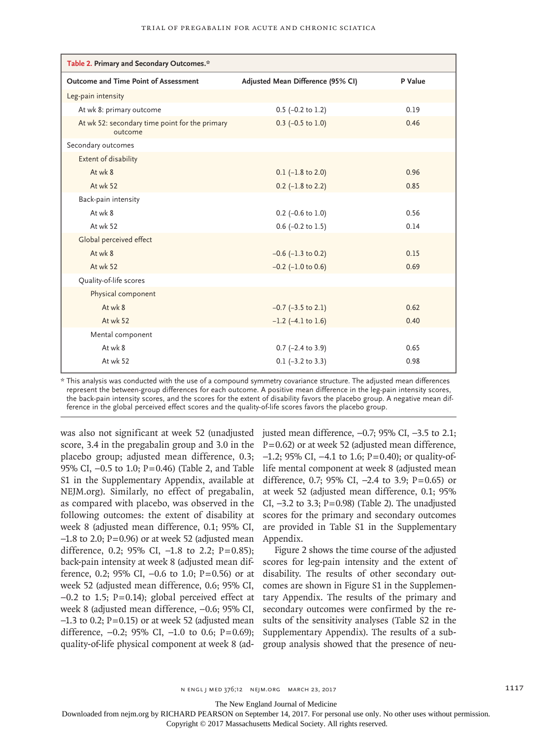| Table 2. Primary and Secondary Outcomes.*                 |                                   |         |  |  |  |  |
|-----------------------------------------------------------|-----------------------------------|---------|--|--|--|--|
| Outcome and Time Point of Assessment                      | Adjusted Mean Difference (95% CI) | P Value |  |  |  |  |
| Leg-pain intensity                                        |                                   |         |  |  |  |  |
| At wk 8: primary outcome                                  | $0.5$ (-0.2 to 1.2)               | 0.19    |  |  |  |  |
| At wk 52: secondary time point for the primary<br>outcome | $0.3$ (-0.5 to 1.0)               | 0.46    |  |  |  |  |
| Secondary outcomes                                        |                                   |         |  |  |  |  |
| Extent of disability                                      |                                   |         |  |  |  |  |
| At wk 8                                                   | $0.1$ (-1.8 to 2.0)               | 0.96    |  |  |  |  |
| At wk 52                                                  | $0.2$ (-1.8 to 2.2)               | 0.85    |  |  |  |  |
| Back-pain intensity                                       |                                   |         |  |  |  |  |
| At wk 8                                                   | $0.2$ (-0.6 to 1.0)               | 0.56    |  |  |  |  |
| At wk 52                                                  | $0.6$ (-0.2 to 1.5)               | 0.14    |  |  |  |  |
| Global perceived effect                                   |                                   |         |  |  |  |  |
| At wk 8                                                   | $-0.6$ ( $-1.3$ to 0.2)           | 0.15    |  |  |  |  |
| At wk 52                                                  | $-0.2$ ( $-1.0$ to 0.6)           | 0.69    |  |  |  |  |
| Quality-of-life scores                                    |                                   |         |  |  |  |  |
| Physical component                                        |                                   |         |  |  |  |  |
| At wk 8                                                   | $-0.7$ ( $-3.5$ to 2.1)           | 0.62    |  |  |  |  |
| At wk 52                                                  | $-1.2$ (-4.1 to 1.6)              | 0.40    |  |  |  |  |
| Mental component                                          |                                   |         |  |  |  |  |
| At wk 8                                                   | $0.7$ (-2.4 to 3.9)               | 0.65    |  |  |  |  |
| At wk 52                                                  | $0.1$ (-3.2 to 3.3)               | 0.98    |  |  |  |  |

\* This analysis was conducted with the use of a compound symmetry covariance structure. The adjusted mean differences represent the between-group differences for each outcome. A positive mean difference in the leg-pain intensity scores, the back-pain intensity scores, and the scores for the extent of disability favors the placebo group. A negative mean difference in the global perceived effect scores and the quality-of-life scores favors the placebo group.

was also not significant at week 52 (unadjusted justed mean difference, −0.7; 95% CI, −3.5 to 2.1; score, 3.4 in the pregabalin group and 3.0 in the  $P = 0.62$  or at week 52 (adjusted mean difference, placebo group; adjusted mean difference, 0.3; -1.2; 95% CI, -4.1 to 1.6; P=0.40); or quality-of-95% CI, −0.5 to 1.0; P=0.46) (Table 2, and Table life mental component at week 8 (adjusted mean S1 in the Supplementary Appendix, available at NEJM.org). Similarly, no effect of pregabalin, as compared with placebo, was observed in the following outcomes: the extent of disability at week 8 (adjusted mean difference, 0.1; 95% CI,  $-1.8$  to 2.0; P=0.96) or at week 52 (adjusted mean difference, 0.2; 95% CI,  $-1.8$  to 2.2; P=0.85); back-pain intensity at week 8 (adjusted mean difference, 0.2; 95% CI,  $-0.6$  to 1.0; P=0.56) or at week 52 (adjusted mean difference, 0.6; 95% CI, −0.2 to 1.5; P=0.14); global perceived effect at week 8 (adjusted mean difference, −0.6; 95% CI, −1.3 to 0.2; P=0.15) or at week 52 (adjusted mean difference, −0.2; 95% CI, −1.0 to 0.6; P=0.69); quality-of-life physical component at week 8 (ad-

difference, 0.7; 95% CI,  $-2.4$  to 3.9; P=0.65) or at week 52 (adjusted mean difference, 0.1; 95% CI, −3.2 to 3.3; P=0.98) (Table 2). The unadjusted scores for the primary and secondary outcomes are provided in Table S1 in the Supplementary Appendix.

Figure 2 shows the time course of the adjusted scores for leg-pain intensity and the extent of disability. The results of other secondary outcomes are shown in Figure S1 in the Supplementary Appendix. The results of the primary and secondary outcomes were confirmed by the results of the sensitivity analyses (Table S2 in the Supplementary Appendix). The results of a subgroup analysis showed that the presence of neu-

The New England Journal of Medicine

Downloaded from nejm.org by RICHARD PEARSON on September 14, 2017. For personal use only. No other uses without permission.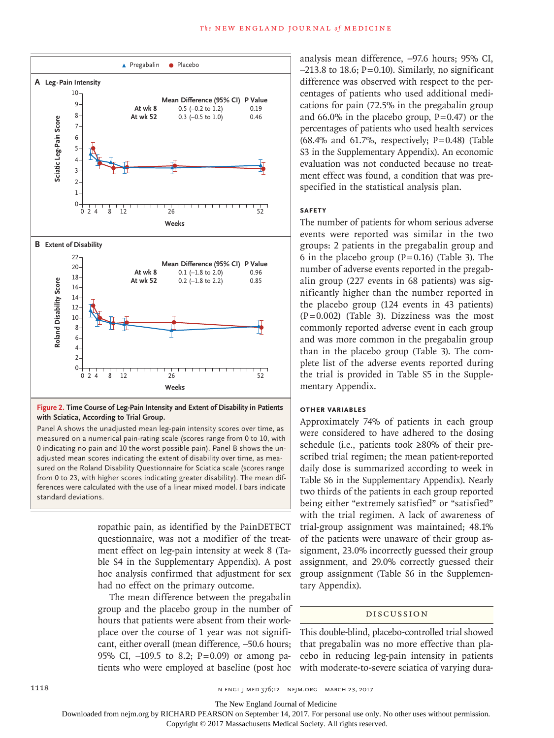

**Figure 2. Time Course of Leg-Pain Intensity and Extent of Disability in Patients with Sciatica, According to Trial Group.**

Panel A shows the unadjusted mean leg-pain intensity scores over time, as measured on a numerical pain-rating scale (scores range from 0 to 10, with 0 indicating no pain and 10 the worst possible pain). Panel B shows the unadjusted mean scores indicating the extent of disability over time, as measured on the Roland Disability Questionnaire for Sciatica scale (scores range from 0 to 23, with higher scores indicating greater disability). The mean differences were calculated with the use of a linear mixed model. I bars indicate standard deviations.

> ropathic pain, as identified by the PainDETECT questionnaire, was not a modifier of the treatment effect on leg-pain intensity at week 8 (Table S4 in the Supplementary Appendix). A post hoc analysis confirmed that adjustment for sex had no effect on the primary outcome.

> The mean difference between the pregabalin group and the placebo group in the number of hours that patients were absent from their workplace over the course of 1 year was not significant, either overall (mean difference, −50.6 hours; 95% CI, -109.5 to 8.2; P=0.09) or among patients who were employed at baseline (post hoc

analysis mean difference, −97.6 hours; 95% CI,  $-213.8$  to 18.6; P=0.10). Similarly, no significant difference was observed with respect to the percentages of patients who used additional medications for pain (72.5% in the pregabalin group and  $66.0\%$  in the placebo group,  $P=0.47$ ) or the percentages of patients who used health services  $(68.4\%$  and  $61.7\%$ , respectively; P=0.48) (Table S3 in the Supplementary Appendix). An economic evaluation was not conducted because no treatment effect was found, a condition that was prespecified in the statistical analysis plan.

#### **Safety**

The number of patients for whom serious adverse events were reported was similar in the two groups: 2 patients in the pregabalin group and 6 in the placebo group  $(P=0.16)$  (Table 3). The number of adverse events reported in the pregabalin group (227 events in 68 patients) was significantly higher than the number reported in the placebo group (124 events in 43 patients)  $(P=0.002)$  (Table 3). Dizziness was the most commonly reported adverse event in each group and was more common in the pregabalin group than in the placebo group (Table 3). The complete list of the adverse events reported during the trial is provided in Table S5 in the Supplementary Appendix.

### **Other Variables**

Approximately 74% of patients in each group were considered to have adhered to the dosing schedule (i.e., patients took ≥80% of their prescribed trial regimen; the mean patient-reported daily dose is summarized according to week in Table S6 in the Supplementary Appendix). Nearly two thirds of the patients in each group reported being either "extremely satisfied" or "satisfied" with the trial regimen. A lack of awareness of trial-group assignment was maintained; 48.1% of the patients were unaware of their group assignment, 23.0% incorrectly guessed their group assignment, and 29.0% correctly guessed their group assignment (Table S6 in the Supplementary Appendix).

#### Discussion

This double-blind, placebo-controlled trial showed that pregabalin was no more effective than placebo in reducing leg-pain intensity in patients with moderate-to-severe sciatica of varying dura-

The New England Journal of Medicine

Downloaded from nejm.org by RICHARD PEARSON on September 14, 2017. For personal use only. No other uses without permission.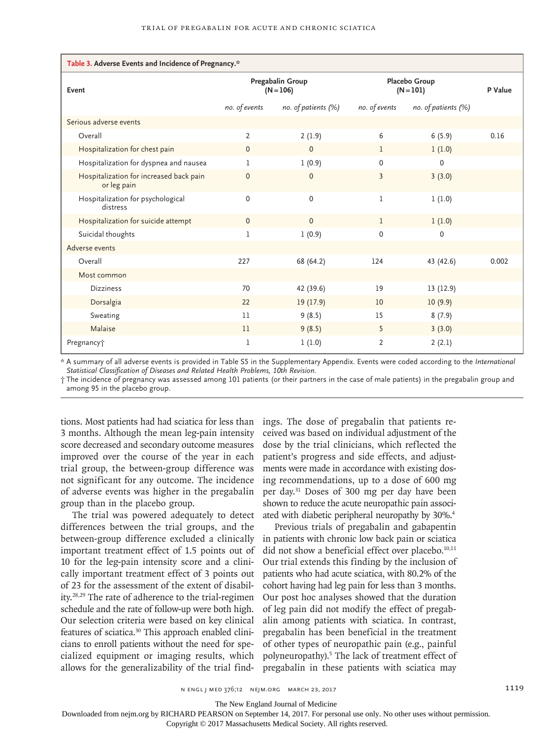| Table 3. Adverse Events and Incidence of Pregnancy.*   |                                 |                     |                              |                     |         |  |  |  |
|--------------------------------------------------------|---------------------------------|---------------------|------------------------------|---------------------|---------|--|--|--|
| Event                                                  | Pregabalin Group<br>$(N = 106)$ |                     | Placebo Group<br>$(N = 101)$ |                     | P Value |  |  |  |
|                                                        | no. of events                   | no. of patients (%) | no. of events                | no. of patients (%) |         |  |  |  |
| Serious adverse events                                 |                                 |                     |                              |                     |         |  |  |  |
| Overall                                                | $\overline{2}$                  | 2(1.9)              | 6                            | 6(5.9)              | 0.16    |  |  |  |
| Hospitalization for chest pain                         | $\mathbf{0}$                    | $\Omega$            | ı                            | 1(1.0)              |         |  |  |  |
| Hospitalization for dyspnea and nausea                 | $\mathbf{1}$                    | 1(0.9)              | $\Omega$                     | $\Omega$            |         |  |  |  |
| Hospitalization for increased back pain<br>or leg pain | $\mathbf 0$                     | $\mathbf 0$         | 3                            | 3(3.0)              |         |  |  |  |
| Hospitalization for psychological<br>distress          | 0                               | $\mathbf 0$         | $\mathbf{1}$                 | 1(1.0)              |         |  |  |  |
| Hospitalization for suicide attempt                    | $\mathbf{0}$                    | $\Omega$            | 1                            | 1(1.0)              |         |  |  |  |
| Suicidal thoughts                                      | 1                               | 1(0.9)              | $\Omega$                     | 0                   |         |  |  |  |
| Adverse events                                         |                                 |                     |                              |                     |         |  |  |  |
| Overall                                                | 227                             | 68 (64.2)           | 124                          | 43 (42.6)           | 0.002   |  |  |  |
| Most common                                            |                                 |                     |                              |                     |         |  |  |  |
| <b>Dizziness</b>                                       | 70                              | 42 (39.6)           | 19                           | 13 (12.9)           |         |  |  |  |
| Dorsalgia                                              | 22                              | 19(17.9)            | 10                           | 10(9.9)             |         |  |  |  |
| Sweating                                               | 11                              | 9(8.5)              | 15                           | 8(7.9)              |         |  |  |  |
| Malaise                                                | 11                              | 9(8.5)              | 5                            | 3(3.0)              |         |  |  |  |
| Pregnancy <sup>+</sup>                                 | 1                               | 1(1.0)              | $\overline{2}$               | 2(2.1)              |         |  |  |  |

\* A summary of all adverse events is provided in Table S5 in the Supplementary Appendix. Events were coded according to the *International Statistical Classification of Diseases and Related Health Problems, 10th Revision*.

† The incidence of pregnancy was assessed among 101 patients (or their partners in the case of male patients) in the pregabalin group and among 95 in the placebo group.

tions. Most patients had had sciatica for less than 3 months. Although the mean leg-pain intensity score decreased and secondary outcome measures improved over the course of the year in each trial group, the between-group difference was not significant for any outcome. The incidence of adverse events was higher in the pregabalin group than in the placebo group.

The trial was powered adequately to detect differences between the trial groups, and the between-group difference excluded a clinically important treatment effect of 1.5 points out of 10 for the leg-pain intensity score and a clinically important treatment effect of 3 points out of 23 for the assessment of the extent of disability.28,29 The rate of adherence to the trial-regimen schedule and the rate of follow-up were both high. Our selection criteria were based on key clinical features of sciatica.30 This approach enabled clinicians to enroll patients without the need for specialized equipment or imaging results, which allows for the generalizability of the trial find-

ings. The dose of pregabalin that patients received was based on individual adjustment of the dose by the trial clinicians, which reflected the patient's progress and side effects, and adjustments were made in accordance with existing dosing recommendations, up to a dose of 600 mg per day.31 Doses of 300 mg per day have been shown to reduce the acute neuropathic pain associated with diabetic peripheral neuropathy by 30%.4

Previous trials of pregabalin and gabapentin in patients with chronic low back pain or sciatica did not show a beneficial effect over placebo.<sup>10,11</sup> Our trial extends this finding by the inclusion of patients who had acute sciatica, with 80.2% of the cohort having had leg pain for less than 3 months. Our post hoc analyses showed that the duration of leg pain did not modify the effect of pregabalin among patients with sciatica. In contrast, pregabalin has been beneficial in the treatment of other types of neuropathic pain (e.g., painful polyneuropathy).<sup>5</sup> The lack of treatment effect of pregabalin in these patients with sciatica may

n engl j med 376;12 nejm.org March 23, 2017 1119

The New England Journal of Medicine

Downloaded from nejm.org by RICHARD PEARSON on September 14, 2017. For personal use only. No other uses without permission.